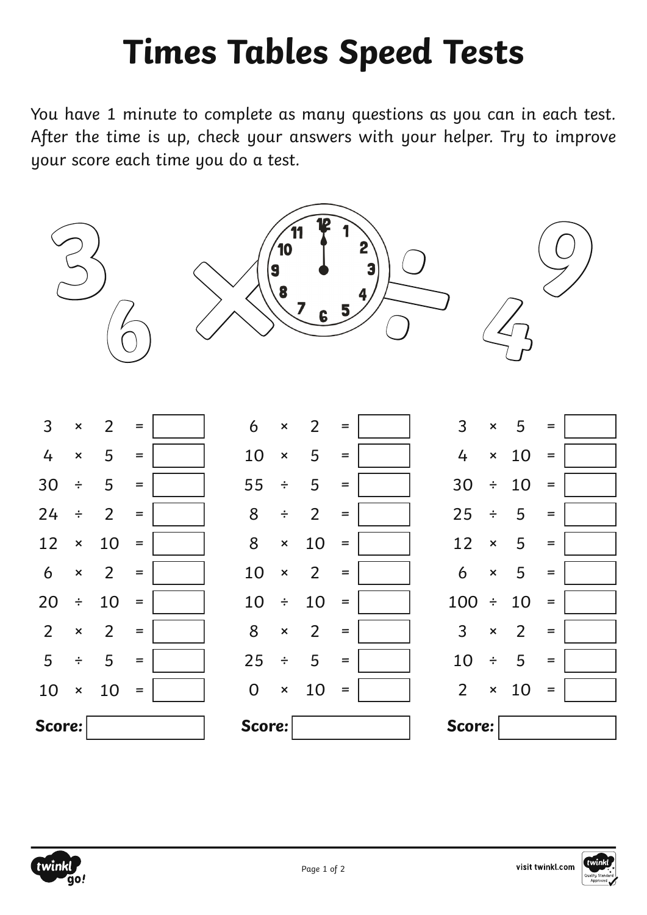## **Times Tables Speed Tests**

You have 1 minute to complete as many questions as you can in each test. After the time is up, check your answers with your helper. Try to improve your score each time you do a test.